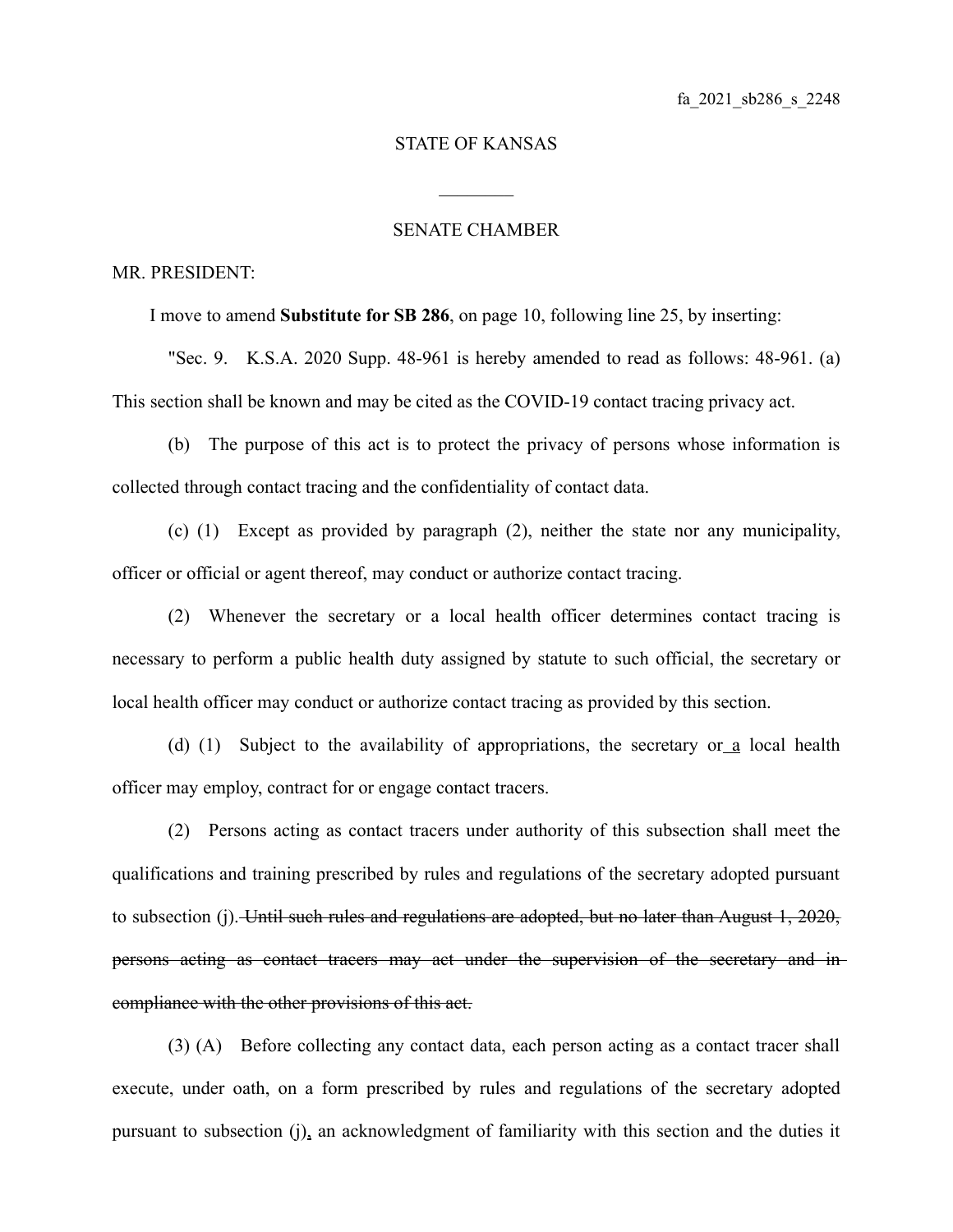## STATE OF KANSAS

 $\mathcal{L}_\text{max}$ 

## SENATE CHAMBER

## MR. PRESIDENT:

I move to amend **Substitute for SB 286**, on page 10, following line 25, by inserting:

"Sec. 9. K.S.A. 2020 Supp. 48-961 is hereby amended to read as follows: 48-961. (a) This section shall be known and may be cited as the COVID-19 contact tracing privacy act.

(b) The purpose of this act is to protect the privacy of persons whose information is collected through contact tracing and the confidentiality of contact data.

(c) (1) Except as provided by paragraph (2), neither the state nor any municipality, officer or official or agent thereof, may conduct or authorize contact tracing.

(2) Whenever the secretary or a local health officer determines contact tracing is necessary to perform a public health duty assigned by statute to such official, the secretary or local health officer may conduct or authorize contact tracing as provided by this section.

(d) (1) Subject to the availability of appropriations, the secretary or a local health officer may employ, contract for or engage contact tracers.

(2) Persons acting as contact tracers under authority of this subsection shall meet the qualifications and training prescribed by rules and regulations of the secretary adopted pursuant to subsection (j). Until such rules and regulations are adopted, but no later than August 1, 2020, persons acting as contact tracers may act under the supervision of the secretary and in compliance with the other provisions of this act.

(3) (A) Before collecting any contact data, each person acting as a contact tracer shall execute, under oath, on a form prescribed by rules and regulations of the secretary adopted pursuant to subsection (j), an acknowledgment of familiarity with this section and the duties it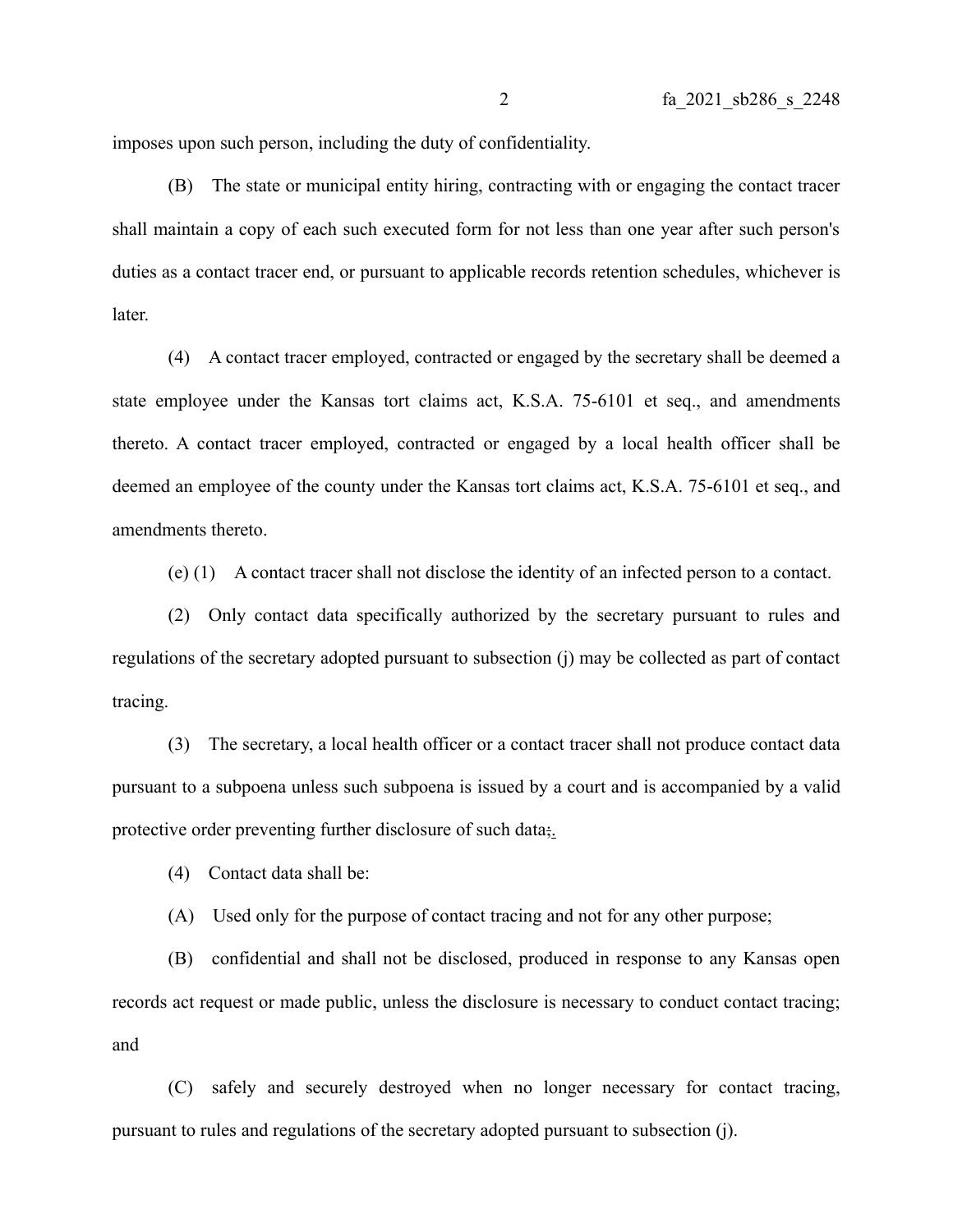imposes upon such person, including the duty of confidentiality.

(B) The state or municipal entity hiring, contracting with or engaging the contact tracer shall maintain a copy of each such executed form for not less than one year after such person's duties as a contact tracer end, or pursuant to applicable records retention schedules, whichever is later.

(4) A contact tracer employed, contracted or engaged by the secretary shall be deemed a state employee under the Kansas tort claims act, K.S.A. 75-6101 et seq., and amendments thereto. A contact tracer employed, contracted or engaged by a local health officer shall be deemed an employee of the county under the Kansas tort claims act, K.S.A. 75-6101 et seq., and amendments thereto.

(e) (1) A contact tracer shall not disclose the identity of an infected person to a contact.

(2) Only contact data specifically authorized by the secretary pursuant to rules and regulations of the secretary adopted pursuant to subsection (j) may be collected as part of contact tracing.

(3) The secretary, a local health officer or a contact tracer shall not produce contact data pursuant to a subpoena unless such subpoena is issued by a court and is accompanied by a valid protective order preventing further disclosure of such data;.

(4) Contact data shall be:

(A) Used only for the purpose of contact tracing and not for any other purpose;

(B) confidential and shall not be disclosed, produced in response to any Kansas open records act request or made public, unless the disclosure is necessary to conduct contact tracing; and

(C) safely and securely destroyed when no longer necessary for contact tracing, pursuant to rules and regulations of the secretary adopted pursuant to subsection (j).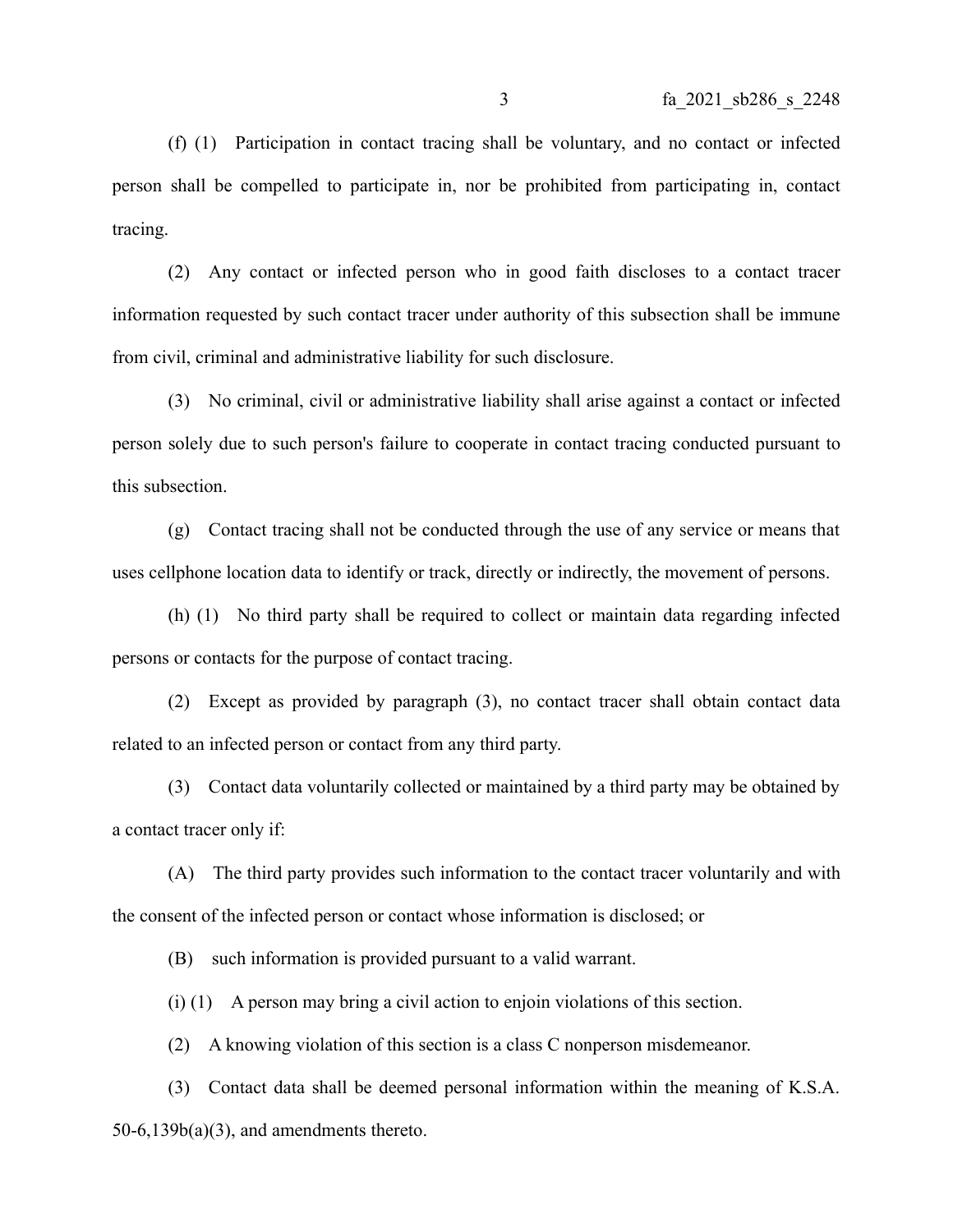(f) (1) Participation in contact tracing shall be voluntary, and no contact or infected person shall be compelled to participate in, nor be prohibited from participating in, contact tracing.

(2) Any contact or infected person who in good faith discloses to a contact tracer information requested by such contact tracer under authority of this subsection shall be immune from civil, criminal and administrative liability for such disclosure.

(3) No criminal, civil or administrative liability shall arise against a contact or infected person solely due to such person's failure to cooperate in contact tracing conducted pursuant to this subsection.

(g) Contact tracing shall not be conducted through the use of any service or means that uses cellphone location data to identify or track, directly or indirectly, the movement of persons.

(h) (1) No third party shall be required to collect or maintain data regarding infected persons or contacts for the purpose of contact tracing.

(2) Except as provided by paragraph (3), no contact tracer shall obtain contact data related to an infected person or contact from any third party.

(3) Contact data voluntarily collected or maintained by a third party may be obtained by a contact tracer only if:

(A) The third party provides such information to the contact tracer voluntarily and with the consent of the infected person or contact whose information is disclosed; or

(B) such information is provided pursuant to a valid warrant.

(i) (1) A person may bring a civil action to enjoin violations of this section.

(2) A knowing violation of this section is a class C nonperson misdemeanor.

(3) Contact data shall be deemed personal information within the meaning of K.S.A.  $50-6,139b(a)(3)$ , and amendments thereto.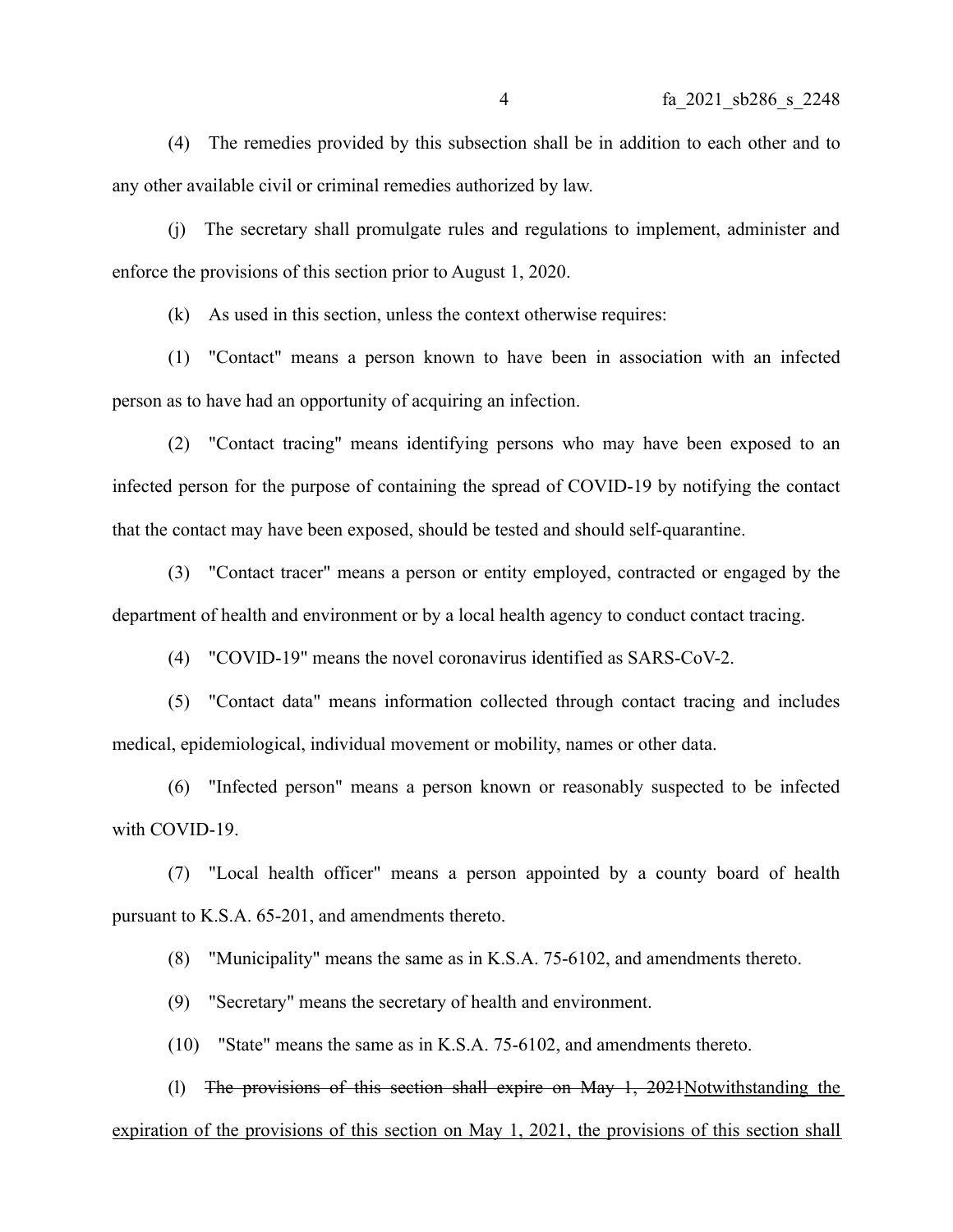(4) The remedies provided by this subsection shall be in addition to each other and to any other available civil or criminal remedies authorized by law.

(j) The secretary shall promulgate rules and regulations to implement, administer and enforce the provisions of this section prior to August 1, 2020.

(k) As used in this section, unless the context otherwise requires:

(1) "Contact" means a person known to have been in association with an infected person as to have had an opportunity of acquiring an infection.

(2) "Contact tracing" means identifying persons who may have been exposed to an infected person for the purpose of containing the spread of COVID-19 by notifying the contact that the contact may have been exposed, should be tested and should self-quarantine.

(3) "Contact tracer" means a person or entity employed, contracted or engaged by the department of health and environment or by a local health agency to conduct contact tracing.

(4) "COVID-19" means the novel coronavirus identified as SARS-CoV-2.

(5) "Contact data" means information collected through contact tracing and includes medical, epidemiological, individual movement or mobility, names or other data.

(6) "Infected person" means a person known or reasonably suspected to be infected with COVID-19.

(7) "Local health officer" means a person appointed by a county board of health pursuant to K.S.A. 65-201, and amendments thereto.

(8) "Municipality" means the same as in K.S.A. 75-6102, and amendments thereto.

(9) "Secretary" means the secretary of health and environment.

(10) "State" means the same as in K.S.A. 75-6102, and amendments thereto.

(l) The provisions of this section shall expire on May 1, 2021Notwithstanding the expiration of the provisions of this section on May 1, 2021, the provisions of this section shall